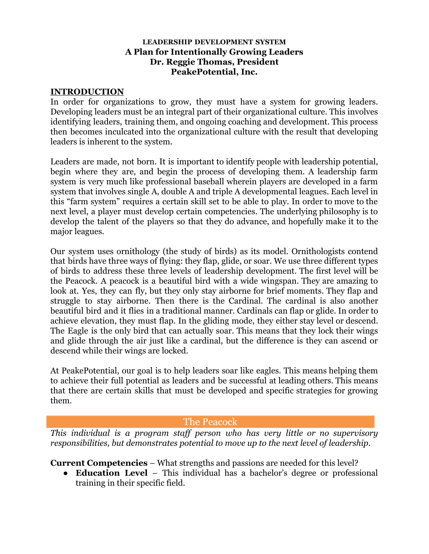#### **LEADERSHIP DEVELOPMENT SYSTEM A Plan for Intentionally Growing Leaders Dr. Reggie Thomas, President PeakePotential, Inc.**

#### **INTRODUCTION**

In order for organizations to grow, they must have a system for growing leaders. Developing leaders must be an integral part of their organizational culture. This involves identifying leaders, training them, and ongoing coaching and development. This process then becomes inculcated into the organizational culture with the result that developing leaders is inherent to the system.

Leaders are made, not born. It is important to identify people with leadership potential, begin where they are, and begin the process of developing them. A leadership farm system is very much like professional baseball wherein players are developed in a farm system that involves single A, double A and triple A developmental leagues. Each level in this "farm system" requires a certain skill set to be able to play. In order to move to the next level, a player must develop certain competencies. The underlying philosophy is to develop the talent of the players so that they do advance, and hopefully make it to the major leagues.

Our system uses ornithology (the study of birds) as its model. Ornithologists contend that birds have three ways of flying: they flap, glide, or soar. We use three different types of birds to address these three levels of leadership development. The first level will be the Peacock. A peacock is a beautiful bird with a wide wingspan. They are amazing to look at. Yes, they can fly, but they only stay airborne for brief moments. They flap and struggle to stay airborne. Then there is the Cardinal. The cardinal is also another beautiful bird and it flies in a traditional manner. Cardinals can flap or glide. In order to achieve elevation, they must flap. In the gliding mode, they either stay level or descend. The Eagle is the only bird that can actually soar. This means that they lock their wings and glide through the air just like a cardinal, but the difference is they can ascend or descend while their wings are locked.

At PeakePotential, our goal is to help leaders soar like eagles. This means helping them to achieve their full potential as leaders and be successful at leading others. This means that there are certain skills that must be developed and specific strategies for growing them.

### The Peacock

*This individual is a program staff person who has very little or no supervisory responsibilities, but demonstrates potential to move up to the next level of leadership.*

**Current Competencies** – What strengths and passions are needed for this level?

● **Education Level** – This individual has a bachelor's degree or professional training in their specific field.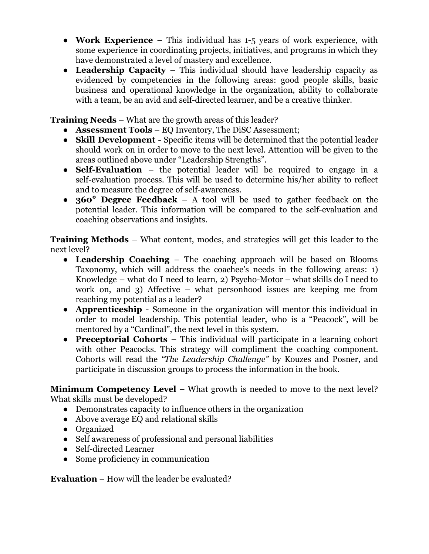- **Work Experience** This individual has 1-5 years of work experience, with some experience in coordinating projects, initiatives, and programs in which they have demonstrated a level of mastery and excellence.
- **Leadership Capacity** This individual should have leadership capacity as evidenced by competencies in the following areas: good people skills, basic business and operational knowledge in the organization, ability to collaborate with a team, be an avid and self-directed learner, and be a creative thinker.

**Training Needs** – What are the growth areas of this leader?

- **Assessment Tools** EQ Inventory, The DiSC Assessment;
- **Skill Development** Specific items will be determined that the potential leader should work on in order to move to the next level. Attention will be given to the areas outlined above under "Leadership Strengths".
- **Self-Evaluation** the potential leader will be required to engage in a self-evaluation process. This will be used to determine his/her ability to reflect and to measure the degree of self-awareness.
- **360° Degree Feedback** A tool will be used to gather feedback on the potential leader. This information will be compared to the self-evaluation and coaching observations and insights.

**Training Methods** – What content, modes, and strategies will get this leader to the next level?

- **Leadership Coaching** The coaching approach will be based on Blooms Taxonomy, which will address the coachee's needs in the following areas: 1) Knowledge – what do I need to learn, 2) Psycho-Motor – what skills do I need to work on, and 3) Affective – what personhood issues are keeping me from reaching my potential as a leader?
- **Apprenticeship** Someone in the organization will mentor this individual in order to model leadership. This potential leader, who is a "Peacock", will be mentored by a "Cardinal", the next level in this system.
- **Preceptorial Cohorts** This individual will participate in a learning cohort with other Peacocks. This strategy will compliment the coaching component. Cohorts will read the *"The Leadership Challenge"* by Kouzes and Posner, and participate in discussion groups to process the information in the book.

**Minimum Competency Level** – What growth is needed to move to the next level? What skills must be developed?

- Demonstrates capacity to influence others in the organization
- Above average EQ and relational skills
- Organized
- Self awareness of professional and personal liabilities
- Self-directed Learner
- Some proficiency in communication

**Evaluation** – How will the leader be evaluated?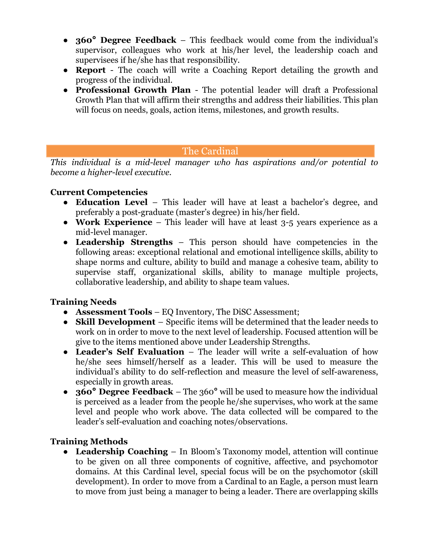- **360° Degree Feedback** This feedback would come from the individual's supervisor, colleagues who work at his/her level, the leadership coach and supervisees if he/she has that responsibility.
- **Report** The coach will write a Coaching Report detailing the growth and progress of the individual.
- **Professional Growth Plan** The potential leader will draft a Professional Growth Plan that will affirm their strengths and address their liabilities. This plan will focus on needs, goals, action items, milestones, and growth results.

# The Cardinal

*This individual is a mid-level manager who has aspirations and/or potential to become a higher-level executive.*

### **Current Competencies**

- **Education Level** This leader will have at least a bachelor's degree, and preferably a post-graduate (master's degree) in his/her field.
- **Work Experience** This leader will have at least 3-5 years experience as a mid-level manager.
- **Leadership Strengths** This person should have competencies in the following areas: exceptional relational and emotional intelligence skills, ability to shape norms and culture, ability to build and manage a cohesive team, ability to supervise staff, organizational skills, ability to manage multiple projects, collaborative leadership, and ability to shape team values.

### **Training Needs**

- **Assessment Tools** EQ Inventory, The DiSC Assessment;
- **Skill Development** Specific items will be determined that the leader needs to work on in order to move to the next level of leadership. Focused attention will be give to the items mentioned above under Leadership Strengths.
- **Leader's Self Evaluation** The leader will write a self-evaluation of how he/she sees himself/herself as a leader. This will be used to measure the individual's ability to do self-reflection and measure the level of self-awareness, especially in growth areas.
- **360° Degree Feedback** The 360° will be used to measure how the individual is perceived as a leader from the people he/she supervises, who work at the same level and people who work above. The data collected will be compared to the leader's self-evaluation and coaching notes/observations.

# **Training Methods**

**● Leadership Coaching** – In Bloom's Taxonomy model, attention will continue to be given on all three components of cognitive, affective, and psychomotor domains. At this Cardinal level, special focus will be on the psychomotor (skill development). In order to move from a Cardinal to an Eagle, a person must learn to move from just being a manager to being a leader. There are overlapping skills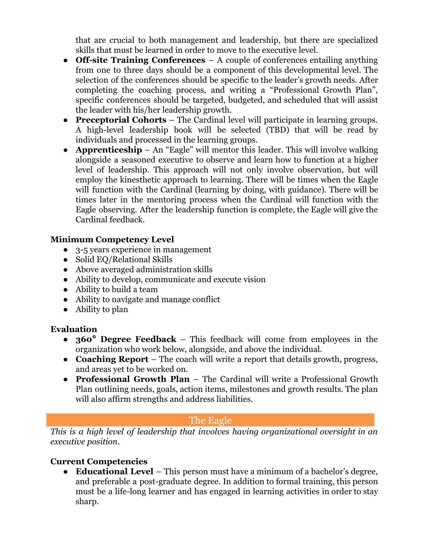that are crucial to both management and leadership, but there are specialized skills that must be learned in order to move to the executive level.

- **Off-site Training Conferences** A couple of conferences entailing anything from one to three days should be a component of this developmental level. The selection of the conferences should be specific to the leader's growth needs. After completing the coaching process, and writing a "Professional Growth Plan", specific conferences should be targeted, budgeted, and scheduled that will assist the leader with his/her leadership growth.
- **● Preceptorial Cohorts** The Cardinal level will participate in learning groups. A high-level leadership book will be selected (TBD) that will be read by individuals and processed in the learning groups.
- **● Apprenticeship** An "Eagle" will mentor this leader. This will involve walking alongside a seasoned executive to observe and learn how to function at a higher level of leadership. This approach will not only involve observation, but will employ the kinesthetic approach to learning. There will be times when the Eagle will function with the Cardinal (learning by doing, with guidance). There will be times later in the mentoring process when the Cardinal will function with the Eagle observing. After the leadership function is complete, the Eagle will give the Cardinal feedback.

### **Minimum Competency Level**

- 3-5 years experience in management
- Solid EQ/Relational Skills
- Above averaged administration skills
- Ability to develop, communicate and execute vision
- Ability to build a team
- Ability to navigate and manage conflict
- Ability to plan

### **Evaluation**

- **360° Degree Feedback** This feedback will come from employees in the organization who work below, alongside, and above the individual.
- **Coaching Report** The coach will write a report that details growth, progress, and areas yet to be worked on.
- **Professional Growth Plan** The Cardinal will write a Professional Growth Plan outlining needs, goals, action items, milestones and growth results. The plan will also affirm strengths and address liabilities.

# The Eagle

*This is a high level of leadership that involves having organizational oversight in an executive position.*

# **Current Competencies**

● **Educational Level** – This person must have a minimum of a bachelor's degree, and preferable a post-graduate degree. In addition to formal training, this person must be a life-long learner and has engaged in learning activities in order to stay sharp.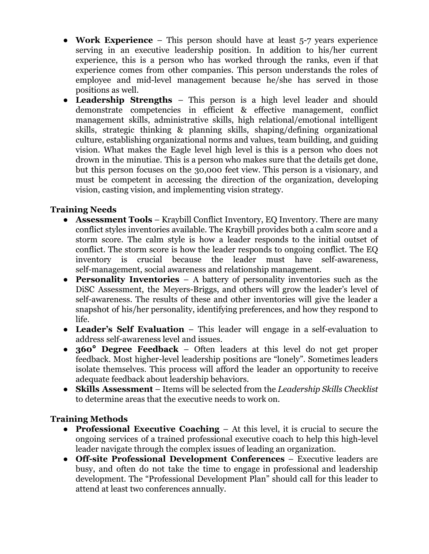- **Work Experience** This person should have at least 5-7 years experience serving in an executive leadership position. In addition to his/her current experience, this is a person who has worked through the ranks, even if that experience comes from other companies. This person understands the roles of employee and mid-level management because he/she has served in those positions as well.
- **Leadership Strengths** This person is a high level leader and should demonstrate competencies in efficient & effective management, conflict management skills, administrative skills, high relational/emotional intelligent skills, strategic thinking & planning skills, shaping/defining organizational culture, establishing organizational norms and values, team building, and guiding vision. What makes the Eagle level high level is this is a person who does not drown in the minutiae. This is a person who makes sure that the details get done, but this person focuses on the 30,000 feet view. This person is a visionary, and must be competent in accessing the direction of the organization, developing vision, casting vision, and implementing vision strategy.

### **Training Needs**

- **Assessment Tools** Kraybill Conflict Inventory, EQ Inventory. There are many conflict styles inventories available. The Kraybill provides both a calm score and a storm score. The calm style is how a leader responds to the initial outset of conflict. The storm score is how the leader responds to ongoing conflict. The EQ inventory is crucial because the leader must have self-awareness, self-management, social awareness and relationship management.
- **Personality Inventories** A battery of personality inventories such as the DiSC Assessment, the Meyers-Briggs, and others will grow the leader's level of self-awareness. The results of these and other inventories will give the leader a snapshot of his/her personality, identifying preferences, and how they respond to life.
- **Leader's Self Evaluation** This leader will engage in a self-evaluation to address self-awareness level and issues.
- **360° Degree Feedback** Often leaders at this level do not get proper feedback. Most higher-level leadership positions are "lonely". Sometimes leaders isolate themselves. This process will afford the leader an opportunity to receive adequate feedback about leadership behaviors.
- **Skills Assessment** Items will be selected from the *Leadership Skills Checklist* to determine areas that the executive needs to work on.

### **Training Methods**

- **Professional Executive Coaching** At this level, it is crucial to secure the ongoing services of a trained professional executive coach to help this high-level leader navigate through the complex issues of leading an organization.
- **Off-site Professional Development Conferences** Executive leaders are busy, and often do not take the time to engage in professional and leadership development. The "Professional Development Plan" should call for this leader to attend at least two conferences annually.